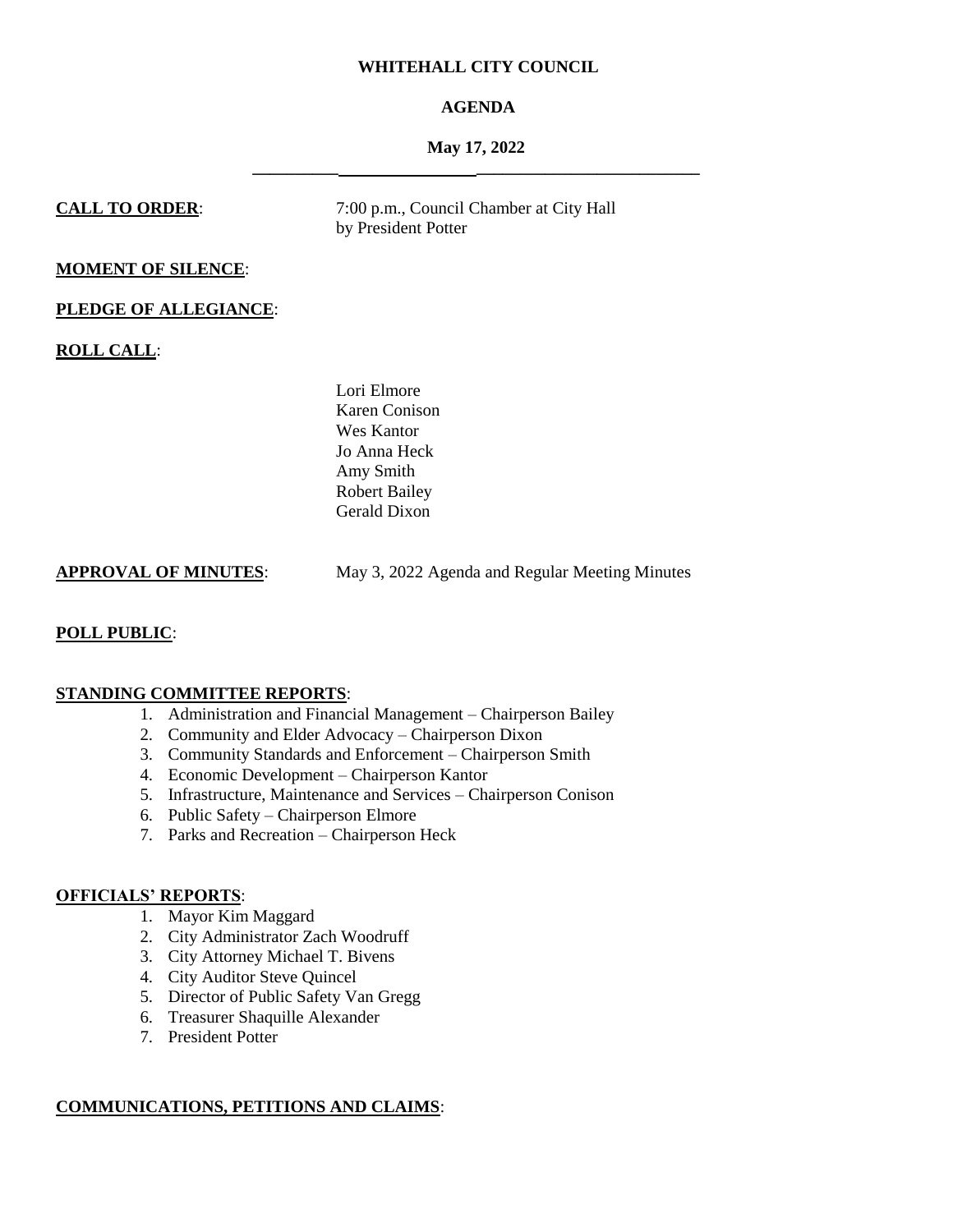# **WHITEHALL CITY COUNCIL**

# **AGENDA**

# **May 17, 2022 \_\_\_\_\_\_\_\_\_\_ \_\_\_\_\_\_\_\_\_\_\_\_\_\_\_\_\_\_\_\_\_\_\_\_\_\_**

**CALL TO ORDER:** 7:00 p.m., Council Chamber at City Hall by President Potter

# **MOMENT OF SILENCE**:

# **PLEDGE OF ALLEGIANCE**:

**ROLL CALL**:

Lori Elmore Karen Conison Wes Kantor Jo Anna Heck Amy Smith Robert Bailey Gerald Dixon

| <b>APPROVAL OF MINUTES:</b> | May 3, 2022 Agenda and Regular Meeting Minutes |
|-----------------------------|------------------------------------------------|
|                             |                                                |

# **POLL PUBLIC**:

# **STANDING COMMITTEE REPORTS**:

- 1. Administration and Financial Management Chairperson Bailey
- 2. Community and Elder Advocacy Chairperson Dixon
- 3. Community Standards and Enforcement Chairperson Smith
- 4. Economic Development Chairperson Kantor
- 5. Infrastructure, Maintenance and Services Chairperson Conison
- 6. Public Safety Chairperson Elmore
- 7. Parks and Recreation Chairperson Heck

## **OFFICIALS' REPORTS**:

- 1. Mayor Kim Maggard
- 2. City Administrator Zach Woodruff
- 3. City Attorney Michael T. Bivens
- 4. City Auditor Steve Quincel
- 5. Director of Public Safety Van Gregg
- 6. Treasurer Shaquille Alexander
- 7. President Potter

# **COMMUNICATIONS, PETITIONS AND CLAIMS**: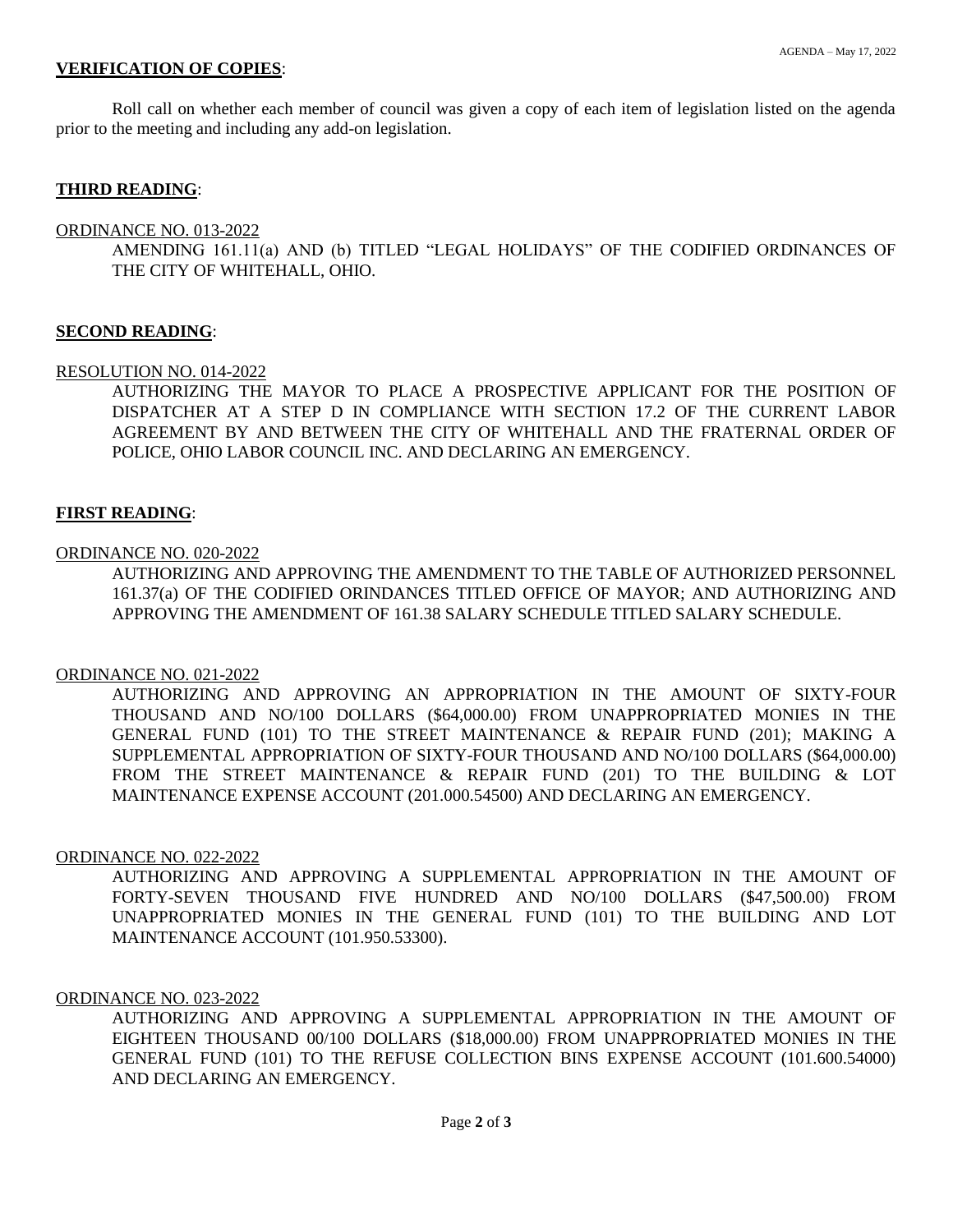# **VERIFICATION OF COPIES**:

Roll call on whether each member of council was given a copy of each item of legislation listed on the agenda prior to the meeting and including any add-on legislation.

## **THIRD READING**:

#### ORDINANCE NO. 013-2022

AMENDING 161.11(a) AND (b) TITLED "LEGAL HOLIDAYS" OF THE CODIFIED ORDINANCES OF THE CITY OF WHITEHALL, OHIO.

## **SECOND READING**:

#### RESOLUTION NO. 014-2022

AUTHORIZING THE MAYOR TO PLACE A PROSPECTIVE APPLICANT FOR THE POSITION OF DISPATCHER AT A STEP D IN COMPLIANCE WITH SECTION 17.2 OF THE CURRENT LABOR AGREEMENT BY AND BETWEEN THE CITY OF WHITEHALL AND THE FRATERNAL ORDER OF POLICE, OHIO LABOR COUNCIL INC. AND DECLARING AN EMERGENCY.

### **FIRST READING**:

#### ORDINANCE NO. 020-2022

AUTHORIZING AND APPROVING THE AMENDMENT TO THE TABLE OF AUTHORIZED PERSONNEL 161.37(a) OF THE CODIFIED ORINDANCES TITLED OFFICE OF MAYOR; AND AUTHORIZING AND APPROVING THE AMENDMENT OF 161.38 SALARY SCHEDULE TITLED SALARY SCHEDULE.

#### ORDINANCE NO. 021-2022

AUTHORIZING AND APPROVING AN APPROPRIATION IN THE AMOUNT OF SIXTY-FOUR THOUSAND AND NO/100 DOLLARS (\$64,000.00) FROM UNAPPROPRIATED MONIES IN THE GENERAL FUND (101) TO THE STREET MAINTENANCE & REPAIR FUND (201); MAKING A SUPPLEMENTAL APPROPRIATION OF SIXTY-FOUR THOUSAND AND NO/100 DOLLARS (\$64,000.00) FROM THE STREET MAINTENANCE & REPAIR FUND (201) TO THE BUILDING & LOT MAINTENANCE EXPENSE ACCOUNT (201.000.54500) AND DECLARING AN EMERGENCY.

# ORDINANCE NO. 022-2022

AUTHORIZING AND APPROVING A SUPPLEMENTAL APPROPRIATION IN THE AMOUNT OF FORTY-SEVEN THOUSAND FIVE HUNDRED AND NO/100 DOLLARS (\$47,500.00) FROM UNAPPROPRIATED MONIES IN THE GENERAL FUND (101) TO THE BUILDING AND LOT MAINTENANCE ACCOUNT (101.950.53300).

#### ORDINANCE NO. 023-2022

AUTHORIZING AND APPROVING A SUPPLEMENTAL APPROPRIATION IN THE AMOUNT OF EIGHTEEN THOUSAND 00/100 DOLLARS (\$18,000.00) FROM UNAPPROPRIATED MONIES IN THE GENERAL FUND (101) TO THE REFUSE COLLECTION BINS EXPENSE ACCOUNT (101.600.54000) AND DECLARING AN EMERGENCY.